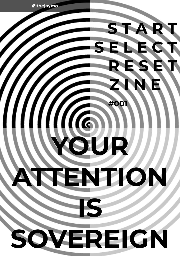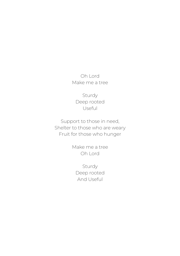Oh Lord Make me a tree

Sturdy Deep rooted Useful

Support to those in need, Shelter to those who are weary Fruit for those who hunger

> Make me a tree Oh Lord

Sturdy Deep rooted And Useful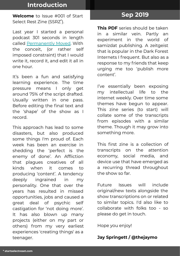## Introduction

Welcome to Issue #001 of Start Select Rest Zine (SSRZ\* ).

Last year I started a personal podcast 301 seconds in length called [Permanently Moved](http://permanentlymoved.libsyn.com/). With the conceit, (or rather self imposed constraint) that I would write it, record it, and edit it all in one hour.

It's been a fun and satisfying learning experience. The time pressure means I only get around 75% of the script drafted. Usually written in one pass. Before editing the final text and the 'shape' of the show as I record.

This approach has lead to some disasters, but also produced some things I'm proud of. Each week has been an exercise in shedding the 'perfect is the enemy of done'. An Affliction that plagues creatives of all kinds when it comes to producing 'content'. A tendency deeply ingrained in my personality. One that over the years has resulted in missed opportunities, jobs and caused a great deal of psychic self castigation for 'not doing more'. It has also blown up many projects (either on my part or others) from my very earliest experiences 'creating things' as a teenager.

# Sep 2019

This PDF series should be taken in a similar vein. Partly an experiment in the world of samizdat publishing. A zeitgeist that is popular in the Dark Forest Internets I frequent. But also as a response to my friends that keep urging me too 'publish more content'.

I've essentially been exposing my intellectual life to the internet weekly. Over time some themes have begun to appear. This zine series (to start) will collate some of the transcripts from episodes with a similar theme. Though it may grow into something more.

This first zine is a collection of transcripts on the attention economy, social media, and device use that have emerged as a recurring thread throughout the show so far.

Future Issues will include original/new texts alongside the show transcriptions on or related to similar topics. I'd also like to collaborate with folks too - so please do get in touch.

Hope you enjoy!

### Jay Springett / @thejaymo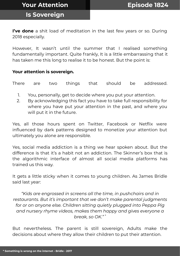Is Sovereign

I've done a shit load of meditation in the last few years or so. During 2018 especially.

However, It wasn't until the summer that I realised something fundamentally important. Quite frankly, It is a little embarrassing that it has taken me this long to realise it to be honest. But the point is:

### Your attention is sovereign.

There are two things that should be addressed.

- 1. You, personally, get to decide where you put your attention.
- 2. By acknowledging this fact you have to take full responsibility for where you have put your attention in the past, and where you will put it in the future.

Yes, all those hours spent on Twitter, Facebook or Netflix were influenced by dark patterns designed to monetize your attention but ultimately you alone are responsible.

Yes, social media addiction is a thing we hear spoken about. But the difference is that it's a habit not an addiction. The Skinner's box that is the algorithmic interface of almost all social media platforms has trained us this way.

It gets a little sticky when it comes to young children. As James Bridle said last year:

"Kids are engrossed in screens all the time, in pushchairs and in restaurants. But it's important that we don't make parental judgments for or on anyone else. Children sitting quietly plugged into Peppa Pig and nursery rhyme videos, makes them happy and gives everyone a break, so OK." \*

But nevertheless. The parent is still sovereign, Adults make the decisions about where they allow their children to put their attention.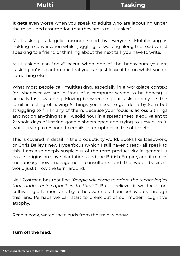It gets even worse when you speak to adults who are labouring under the misguided assumption that they are 'a multitasker'.

Multitasking is largely misunderstood by everyone. Multitasking is holding a conversation whilst juggling, or walking along the road whilst speaking to a friend or thinking about the next talk you have to write.

Multitasking can \*only\* occur when one of the behaviours you are 'tasking on' is so automatic that you can just leave it to run whilst you do something else.

What most people call multitasking, especially in a workplace context (or whenever we are in front of a computer screen to be honest) is actually task switching. Moving between singular tasks rapidly. It's the familiar feeling of having 5 things you need to get done by 5pm but struggling to finish any of them. Because your focus is across 5 things and not on anything at all. A solid hour in a spreadsheet is equivalent to 2 whole days of leaving google sheets open and trying to slow burn it, whilst trying to respond to emails, interruptions in the office etc.

This is covered in detail in the productivity world. Books like Deepwork, or Chris Bailey's new Hyperfocus (which I still haven't read) all speak to this. I am also deeply suspicious of the term productivity in general. It has its origins on slave plantations and the British Empire, and it makes me uneasy how management consultants and the wider business world just throw the term around.

Neil Postman has that line "People will come to adore the technologies that undo their capacities to think.''\* But I believe, if we focus on cultivating attention, and try to be aware of all our behaviours through this lens. Perhaps we can start to break out of our modern cognitive atrophy.

Read a book, watch the clouds from the train window.

### Turn off the feed.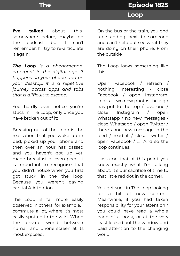I've talked about this somewhere before, maybe on the podcast but I can't remember. I'll try to re-articulate it again:

The Loop is a phenomenon emergent in the digital age. It happens on your phone and on your desktop, it is a repetitive journey across apps and tabs that is difficult to escape.

You hardly ever notice you're stuck in The Loop, only once you have broken out of it:

Breaking out of the Loop is the realisation that you woke up in bed, picked up your phone and then over an hour has passed and you haven't got up yet, made breakfast or even peed. It is important to recognise that you didn't notice when you first got stuck in the the loop. Because you weren't paying capital A Attention.

The Loop is far more easily observed in others: for example, I commute a lot, where it's most easily spotted in the wild. When the private world between human and phone screen at its most exposed.

On the bus or the train, you end up standing next to someone and can't help but see what they are doing on their phone. From the outside

The Loop looks something like this:

Open Facebook / refresh / nothing interesting / close Facebook / open Instagram. Look at two new photos the algo has put to the top / fave one / close Instagram / open Whatsapp / no new messages / close Whatsapp / open Twitter / there's one new message in the feed / read it / close Twitter / open Facebook / ….. And so the loop continues.

I assume that at this point you know exactly what I'm talking about. It's our sacrifice of time to that little red dot in the corner.

You get suck in The Loop looking for a hit of new content. Meanwhile, if you had taken responsibility for your attention / you could have read a whole page of a book, or at the very least looked out the window and paid attention to the changing world.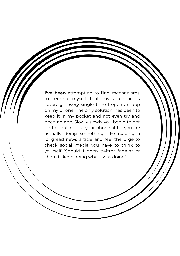I've been attempting to find mechanisms to remind myself that my attention is sovereign every single time I open an app on my phone. The only solution, has been to keep it in my pocket and not even try and open an app. Slowly slowly you begin to not bother pulling out your phone atll. If you are actually doing something, like reading a longread news article and feel the urge to check social media you have to think to yourself 'Should I open twitter \*again\* or should I keep doing what I was doing'.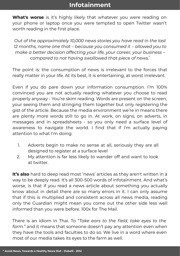What's worse is it's highly likely that whatever you were reading on your phone or laptop once you were tempted to open Twitter wasn't worth reading in the first place.

Out of the approximately 10,000 news stories you have read in the last 12 months, name one that – because you consumed it – allowed you to make a better decision affecting your life, your career, your business – compared to not having swallowed that piece of news.\*

The point is: the consumption of news is irrelevant to the forces that really matter in your life. At its best, it is entertaining, at worst irrelevant.

Even if you do pare down your information consumption. I'm 100% convinced you are not actually reading whatever you choose to read properly anyway - You're skim reading. Words are present on the screen, your seeing them and stringing them together but only registering the gist of the article. Because the media environment we're in means there are plenty more words still to go in. At work, on signs, on adverts, in messages and in spreadsheets - so you only need a surface level of awareness to navigate the world. I find that if I'm actually paying attention to what I'm doing:

- 1. Adverts begin to make no sense at all, seriously they are all designed to register at a surface level
- 2. My attention is far less likely to wander off and want to look at twitter.

It's also hard to deep read most 'news' articles as they aren't written in a way to be deeply read. It's all 300-500 words of infotainment. And what's worse, is that if you read a news article about something you actually know about in detail there are so many errors in it. I can only assume that if this is multiplied and consistent across all news media, reading only the Guardian might mean you come out the other side less well informed than you were before. 100x for The Mail.

There is an idiom in Thai. To "Take ears to the field, take eyes to the farm." and it means that someone doesn't pay any attention even when they have the tools and faculties to do so. We live in a word where even most of our media takes its eyes to the farm as well.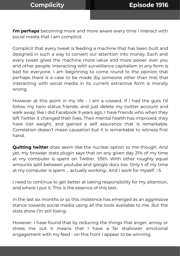I'm perhaps becoming more and more aware every time I interact with social media that I am complicit.

Complicit that every tweet is feeding a machine that has been built and designed in such a way to convert our attention into money. Each and every tweet gives the machine more value and more power over you and other people. Interacting with surveillance capitalism in any form is bad for everyone. I am beginning to come round to the opinion that perhaps there is a case to be made (by someone other than me) that interacting with social media in its current extractive form is morally wrong.

However at this point in my life - I am a coward. If I had the guts I'd follow my hero status friends, and just delete my twitter account and walk away, like I did Facebook 9 years ago. I have friends who when they left Twitter it changed their lives. Their mental health has improved, they have lost weight, and gained a self assurance that is remarkable. Correlation doesn't mean causation but it is remarkable to witness first hand.

**Quitting twitter** does seem like the nuclear option to me though. And yet, my browser stats plugin says that on any given day 21% of my time at my computer is spent on Twitter. 1/5th. With other roughly equal amounts split between youtube and google docs too. Only ⅕ of my time at my computer is spent … actually working.. And I work for myself. :-S

I need to continue to get better at taking responsibility for my attention, and where I put it. This is the essence of this text.

In the last six months or so this insistence has emerged as an aggressive stance towards social media using all the tools available to me. But the stats show I'm still losing.

However, I have found that by reducing the things that anger, annoy or stress me out it means that I have a far shallower emotional engagement with my feed - on this front I appear to be winning.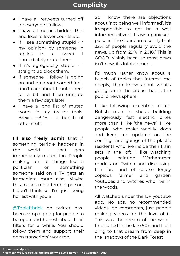- I have all retweets turned off for everyone I follow.
- I have all metrics hidden, RT's and likes follower counts etc.
- If I see something stupid (in my opinion) by someone in replies to a tweet I immediately mute them.
- If it's egregiously stupid I straight up block them.
- If someone I follow is going on and on about something I don't care about I mute them for a bit and then unmute them a few days later
- I have a long list of muted words in my twitter tools, Brexit. FBPE - a bunch of other stuff.

I'll also freely admit that if something terrible happens in the world - that gets immediately muted too. People making fun of things like a politician or something someone said on a TV gets an immediate mute also. Maybe this makes me a terrible person, I don't think so. I'm just being honest with you all.

[@Topleftbrick](https://twitter.com/topleftbrick) on twitter has been campaigning for people to be open and honest about their filters for a while. You should follow them and support their open transcripts\* work too.

So I know there are objections about 'not being well informed', it's irresponsible to not be a well informed citizen'. I saw a panicked piece in The Guardian recently that 32% of people regularly avoid the news, up from 29% in 2018.\* This is GOOD. Mainly because most news isn't new, it's Infotainment.

I'd much rather know about a bunch of topics that interest me deeply, than know about what's going on in the circus that is the public news sphere.

I like following eccentric retired British men in sheds building dangerously fast electric bikes more than I like 'the news'. I like people who make weekly vlogs and keep me updated on the comings and goings of the plastic residents who live inside their train sets in the loft. I like watching people painting Warhammer models on Twitch and discussing the lore and of course Ienjoy copious farmer and garden Youtubes and witches who live in the woods.

All watched under the DF youtube app. No ads, no recommended videos, no comments, just people making videos for the love of it. This was the dream of the web I first surfed in the late 90's and I still cling to that dream from deep in the shadows of the Dark Forest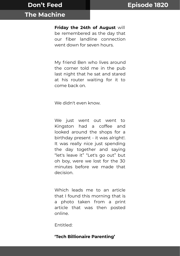### The Machine

Friday the 24th of August will be remembered as the day that our fiber landline connection went down for seven hours.

My friend Ben who lives around the corner told me in the pub last night that he sat and stared at his router waiting for it to come back on.

We didn't even know.

We just went out went to Kingston had a coffee and looked around the shops for a birthday present - it was alright!. It was really nice just spending the day together and saying "let's leave it" "Let's go out" but oh boy, were we lost for the 30 minutes before we made that decision.

Which leads me to an article that I found this morning that is a photo taken from a print article that was then posted online.

Entitled:

'Tech Billionaire Parenting'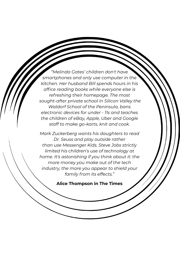"Melinda Gates' children don't have smartphones and only use computer in the kitchen. Her husband Bill spends hours in his office reading books while everyone else is refreshing their homepage. The most sought-after private school in Silicon Valley the Waldorf School of the Peninsula, bans electronic devices for under - 11s and teaches the children of eBay, Apple, Uber and Google staff to make go-karts, knit and cook.

Mark Zuckerberg wants his daughters to read Dr. Seuss and play outside rather than use Messenger Kids. Steve Jobs strictly limited his children's use of technology at home. It's astonishing if you think about it: the more money you make out of the tech industry, the more you appear to shield your family from its effects."

### Alice Thompson in The Times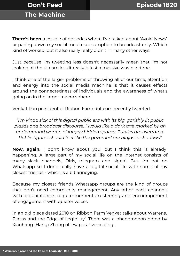# The Machine

**There's been** a couple of episodes where I've talked about 'Avoid News' or paring down my social media consumption to broadcast only. Which kind of worked, but it also really really didn't in many other ways.

Just because I'm tweeting less doesn't necessarily mean that I'm not looking at the stream less it really is just a massive waste of time.

I think one of the larger problems of throwing all of our time, attention and energy into the social media machine is that it causes effects around the connectedness of individuals and the awareness of what's going on in the larger macro sphere.

Venkat Rao president of Ribbon Farm dot com recently tweeted:

"I'm kinda sick of this digital public era with its big, garishly lit public plazas and broadcast discourse. I would like a dark age marked by an underground warren of largely hidden spaces. Publics are overrated. Public figures should feel like the governed are ninjas in shadows"

Now, again, I don't know about you, but I think this is already happening. A large part of my social life on the Internet consists of many slack channels, DMs, telegram and signal. But I'm not on Whatsapp so I don't really have a digital social life with some of my closest friends - which is a bit annoying.

Because my closest friends Whatsapp groups are the kind of groups that don't need community management. Any other back channels with acquaintances require momentum steering and encouragement of engagement with quieter voices

In an old piece dated 2010 on Ribbon Farm Venkat talks about Warrens, Plazas and the Edge of Legibility<sup>\*</sup>. There was a phenomenon noted by Xianhang (Hang) Zhang of 'evaporative cooling'.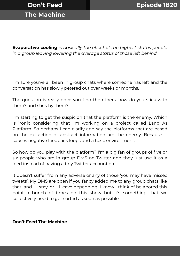# The Machine

**Evaporative cooling** is basically the effect of the highest status people in a group leaving lowering the average status of those left behind.

I'm sure you've all been in group chats where someone has left and the conversation has slowly petered out over weeks or months.

The question is really once you find the others, how do you stick with them? and stick by them?

I'm starting to get the suspicion that the platform is the enemy. Which is ironic considering that I'm working on a project called Land As Platform. So perhaps I can clarify and say the platforms that are based on the extraction of abstract information are the enemy. Because it causes negative feedback loops and a toxic environment.

So how do you play with the platform? I'm a big fan of groups of five or six people who are in group DMS on Twitter and they just use it as a feed instead of having a tiny Twitter account etc

It doesn't suffer from any adverse or any of those 'you may have missed tweets'. My DMS are open if you fancy added me to any group chats like that, and I'll stay, or I'll leave depending. I know I think of belabored this point a bunch of times on this show but it's something that we collectively need to get sorted as soon as possible.

### Don't Feed The Machine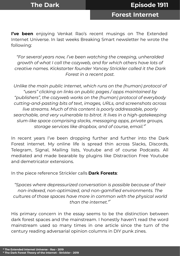Forest Internet

I've been enjoying Venkat Rao's recent musings on The Extended Internet Universe. In last weeks Breaking Smart newsletter he wrote the following:

"For several years now, I've been watching the creeping, unheralded growth of what I call the cozyweb, and for which others have lots of creative names. Kickstarter founder Yancey Strickler called it the Dark Forest in a recent post.

Unlike the main public internet, which runs on the (human) protocol of "users" clicking on links on public pages / apps maintained by "publishers", the cozyweb works on the (human) protocol of everybody cutting-and-pasting bits of text, images, URLs, and screenshots across live streams. Much of this content is poorly addressable, poorly searchable, and very vulnerable to bitrot. It lives in a high-gatekeeping slum-like space comprising slacks, messaging apps, private groups, storage services like dropbox, and of course, email."\*

In recent years I've been dropping further and further into the Dark Forest internet. My online life is spread thin across Slacks, Discords, Telegram, Signal, Mailing lists, Youtube and of course Podcasts. All mediated and made bearable by plugins like Distraction Free Youtube and demetricator extensions.

In the piece reference Strickler calls Dark Forests:

"Spaces where depressurized conversation is possible because of their non-indexed, non-optimized, and non-gamified environments. The cultures of those spaces have more in common with the physical world than the internet."\*

His primary concern in the essay seems to be the distinction between dark forest spaces and the mainstream. I honestly haven't read the word mainstream used so many times in one article since the turn of the century reading adversarial opinion columns in DIY punk zines.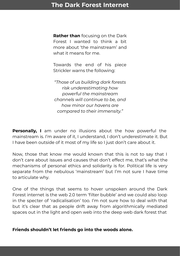**Rather than** focusing on the Dark Forest I wanted to think a bit more about 'the mainstream' and what it means for me.

Towards the end of his piece Strickler warns the following:

"Those of us building dark forests risk underestimating how powerful the mainstream channels will continue to be, and how minor our havens are compared to their immensity."

Personally, I am under no illusions about the how powerful the mainstream is. I'm aware of it, I understand, I don't underestimate it. But I have been outside of it most of my life so I just don't care about it.

Now, those that know me would known that this is not to say that I don't care about issues and causes that don't effect me, that's what the mechanisms of personal ethics and solidarity is for. Political life is very separate from the nebulous 'mainstream' but I'm not sure I have time to articulate why.

One of the things that seems to hover unspoken around the Dark Forest internet is the web 2.0 term 'filter bubble' and we could also loop in the specter of 'radicalisation' too. I'm not sure how to deal with that but it's clear that as people drift away from algorithmically mediated spaces out in the light and open web into the deep web dark forest that

Friends shouldn't let friends go into the woods alone.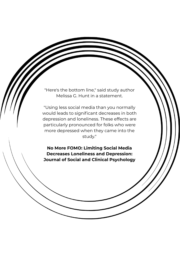"Here's the bottom line," said study author Melissa G. Hunt in a statement.

"Using less social media than you normally would leads to significant decreases in both depression and loneliness. These effects are particularly pronounced for folks who were more depressed when they came into the study."

No More FOMO: Limiting Social Media Decreases Loneliness and Depression: Journal of Social and Clinical Psychology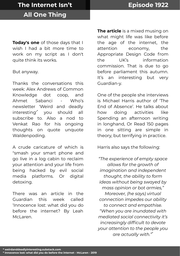Today's one of those days that I wish I had a bit more time to work on my script as I don't quite think its works.

But anyway.

Thanks the conversations this week: Alex Andrews of Common Knowledge dot coop, and Ahmet Sabanci - Who's newsletter 'Weird and deadly interesting'\* you should all subscribe to. Also a nod to Venkat Rao for his ongoing thoughts on quote unquote Waldenpoding.

A crude caricature of which is "smash your smart phone and go live in a log cabin to reclaim your attention and your life from being hacked by evil social media platforms. Or digital detoxing.

There was an article in the Guardian this week called 'Innocence lost: what did you do before the internet? By Leah McLaren.

The article is a mixed musing on what might life was like before the age of the internet, the attention economy, the Appropriate Design Code from the UK's information commission. That is due to go before parliament this autumn. It's an interesting but very Guardian-y.

One of the people she interviews is Michael Harris author of 'The End of Absence'. He talks about how doing activities like Spending an afternoon writing in longhand, Or Read 150 pages in one sitting are simple in theory, but terrifying in practice.

Harris also says the following:

"The experience of empty space allows for the growth of imagination and independent thought, the ability to form ideas without being swayed by mass opinion or bot armies," Moreover, (he says) virtual connection impedes our ability to connect and empathise. "When you are inundated with mediated social connectivity it's increasingly difficult to devote your attention to the people you are actually with."\*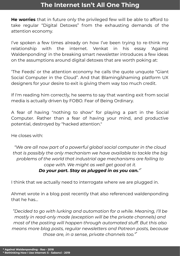He worries that in future only the privileged few will be able to afford to take regular "Digital Detoxes" from the exhausting demands of the attention economy.

I've spoken a few times already on how I've been trying to re-think my relationship with the internet. Venkat in his essay 'Against Waldenponding' in the breaking smart newsletter introduces a few ideas on the assumptions around digital detoxes that are worth poking at:

'The Feeds' or the attention economy he calls the quote unquote "Giant Social Computer in the Cloud". And that Blaming/shaming platform UX designers for your desire to exit is giving them way too much credit.

If I'm reading him correctly, he seems to say that wanting exit from social media is actually driven by FOBO. Fear of Being Ordinary.

A fear of having "nothing to show" for playing a part in the Social Computer. Rather than a fear of having your mind, and productive potential, destroyed by "hacked attention."

He closes with:

"We are all now part of a powerful global social computer in the cloud that is possibly the only mechanism we have available to tackle the big problems of the world that industrial age mechanisms are failing to cope with. We might as well get good at it.

### Do your part. Stay as plugged in as you can."\*

I think that we actually need to interrogate where we are plugged in.

Ahmet wrote in a blog post recently that also referenced waldenponding that he has...

"Decided to go with lurking and automation for a while. Meaning, I'll be mostly in read-only mode (exception will be the private channels) and most of the posting will happen through automated stuff. But this also means more blog posts, regular newsletters and Patreon posts, because those are, in a sense, private channels too."\*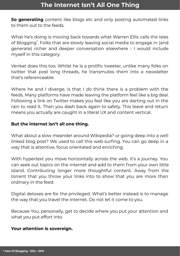So aenerating content like blogs etc and only posting automated links to them out to the feeds.

What he's doing is moving back towards what Warren Ellis calls the Isles of Blogging\* . Folks that are slowly leaving social media to engage in (and generate) richer and deeper conversation elsewhere - I would include myself in this category.

Venkat does this too. Whilst he is a prolific tweeter, unlike many folks on twitter that post long threads, he transmutes them into a newsletter that's referenceable.

Where he and I diverge, is that I do think there is a problem with the feeds. Many platforms have made leaving the platform feel like a big deal. Following a link on Twitter makes you feel like you are darting out in the rain to read it. Then you dash back again to safety. This leave and return means you actually are caught in a literal UX and content vertical.

### But the internet isn't all one thing.

What about a slow meander around Wikipedia? or going deep into a well linked blog post? We used to call this web surfing. You can go deep in a way that is attentive, focus orientated and enriching.

With hypertext you move horizontally across the web. It's a journey. You can seek out topics on the internet and add to them from your own little island. Contributing longer more thoughtful content. Away from the torrent that you throw your links into to show that you are more than ordinary in the feed.

Digital detoxes are for the privileged. What's better instead is to manage the way that you travel the internet. Do not let it come to you.

Because You, personally, get to decide where you put your attention and what you put effort into.

### Your attention is sovereign.